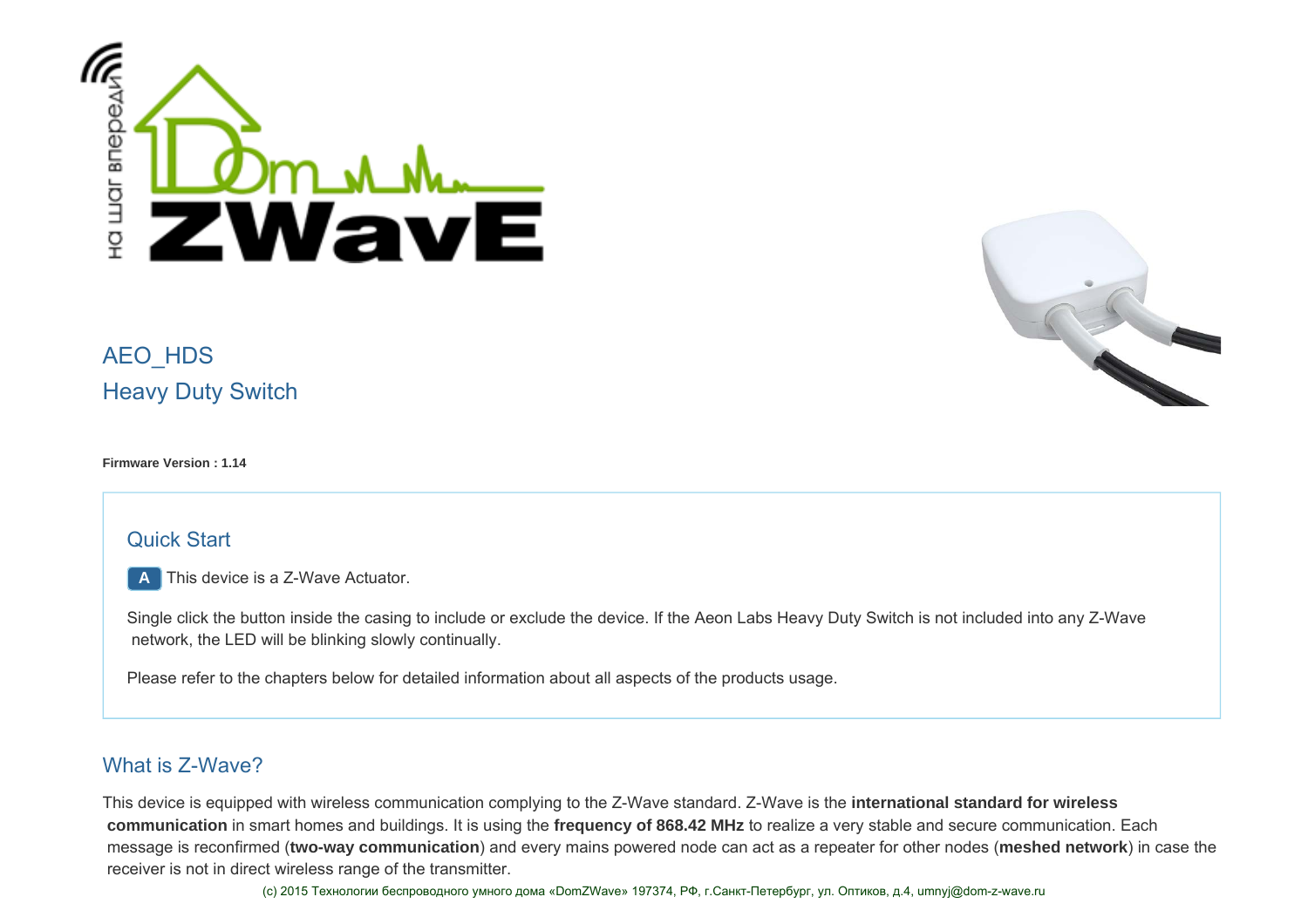



# AEO\_HDS Heavy Duty Switch

#### **Firmware Version : 1.14**

### Quick Start

**A** This device is a Z-Wave Actuator.

Single click the button inside the casing to include or exclude the device. If the Aeon Labs Heavy Duty Switch is not included into any Z-Wave network, the LED will be blinking slowly continually.

Please refer to the chapters below for detailed information about all aspects of the products usage.

### What is Z-Wave?

This device is equipped with wireless communication complying to the Z-Wave standard. Z-Wave is the **international standard for wireless communication** in smart homes and buildings. It is using the **frequency of 868.42 MHz** to realize a very stable and secure communication. Each message is reconfirmed (**two-way communication**) and every mains powered node can act as a repeater for other nodes (**meshed network**) in case the receiver is not in direct wireless range of the transmitter.

(с) 2015 Технологии беспроводного умного дома «DomZWave» 197374, РФ, г.Санкт-Петербург, ул. Оптиков, д.4, umnyj@dom-z-wave.ru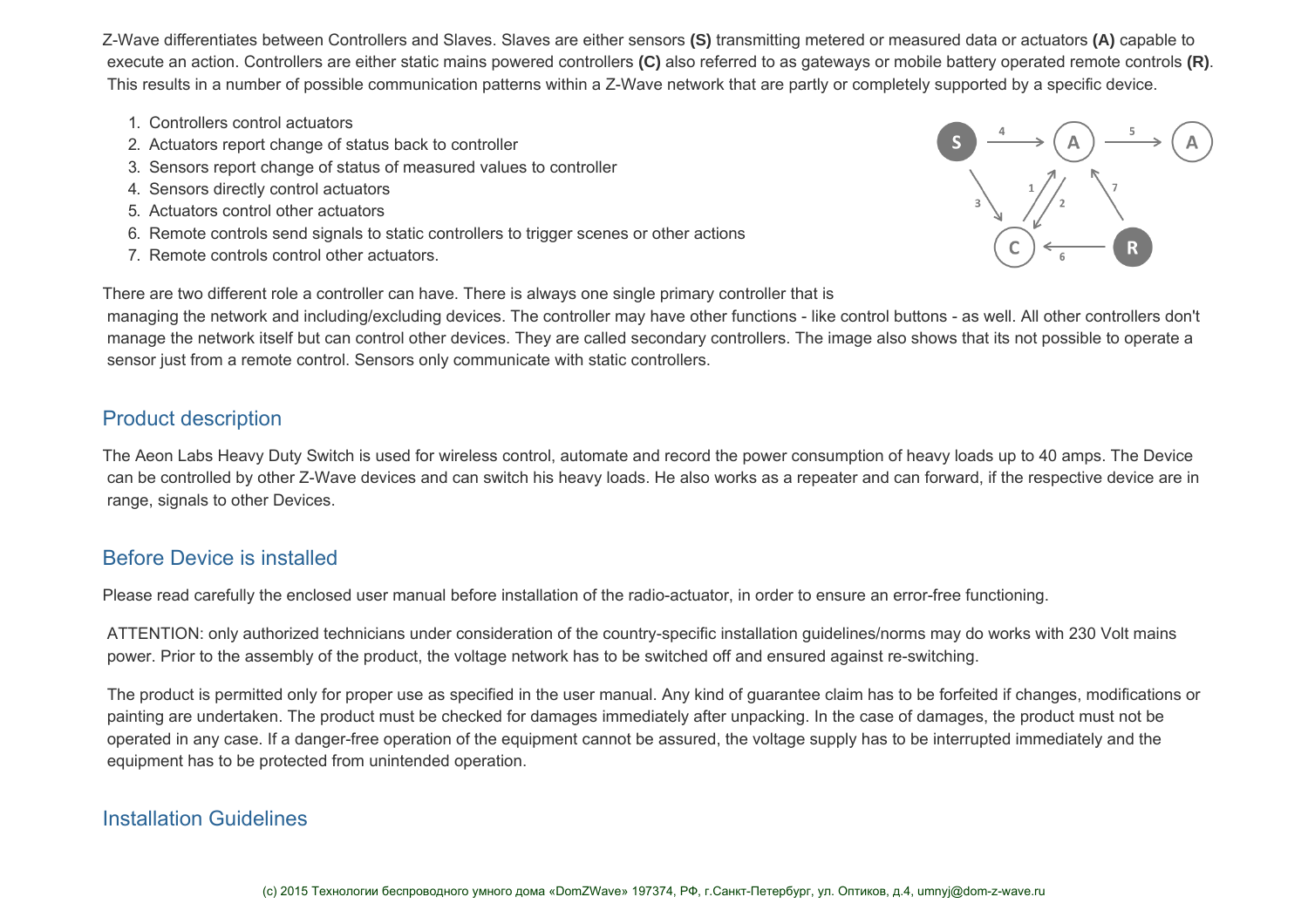Z-Wave differentiates between Controllers and Slaves. Slaves are either sensors **(S)** transmitting metered or measured data or actuators **(A)** capable to execute an action. Controllers are either static mains powered controllers **(C)** also referred to as gateways or mobile battery operated remote controls **(R)**. This results in a number of possible communication patterns within a Z-Wave network that are partly or completely supported by a specific device.

- 1. Controllers control actuators
- 2. Actuators report change of status back to controller
- 3. Sensors report change of status of measured values to controller
- 4. Sensors directly control actuators
- 5. Actuators control other actuators
- 6. Remote controls send signals to static controllers to trigger scenes or other actions
- 7. Remote controls control other actuators.



There are two different role a controller can have. There is always one single primary controller that is

 managing the network and including/excluding devices. The controller may have other functions - like control buttons - as well. All other controllers don't manage the network itself but can control other devices. They are called secondary controllers. The image also shows that its not possible to operate a sensor just from a remote control. Sensors only communicate with static controllers.

### Product description

The Aeon Labs Heavy Duty Switch is used for wireless control, automate and record the power consumption of heavy loads up to 40 amps. The Device can be controlled by other Z-Wave devices and can switch his heavy loads. He also works as a repeater and can forward, if the respective device are in range, signals to other Devices.

## Before Device is installed

Please read carefully the enclosed user manual before installation of the radio-actuator, in order to ensure an error-free functioning.

 ATTENTION: only authorized technicians under consideration of the country-specific installation guidelines/norms may do works with 230 Volt mains power. Prior to the assembly of the product, the voltage network has to be switched off and ensured against re-switching.

 The product is permitted only for proper use as specified in the user manual. Any kind of guarantee claim has to be forfeited if changes, modifications or painting are undertaken. The product must be checked for damages immediately after unpacking. In the case of damages, the product must not be operated in any case. If a danger-free operation of the equipment cannot be assured, the voltage supply has to be interrupted immediately and the equipment has to be protected from unintended operation.

### Installation Guidelines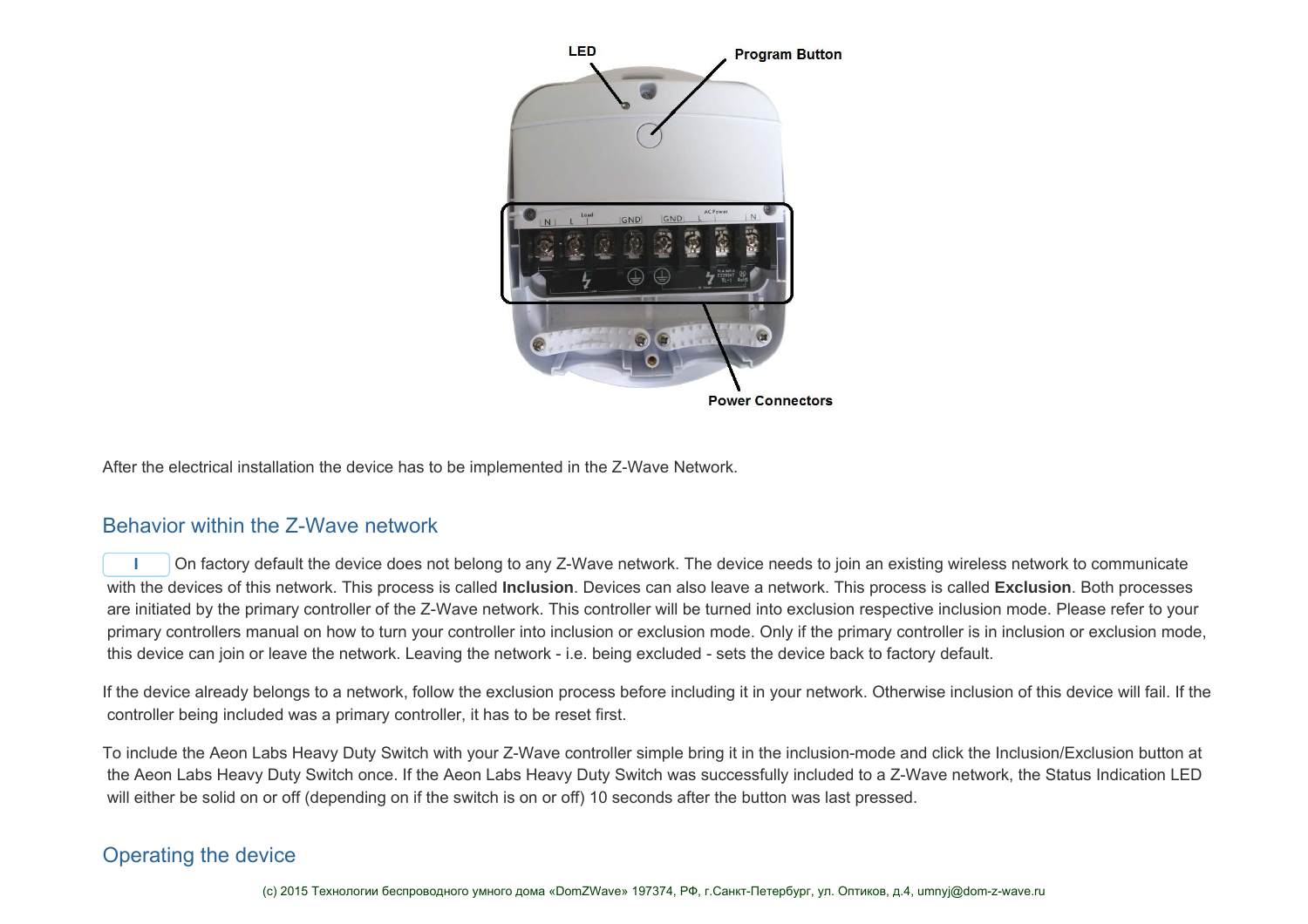

After the electrical installation the device has to be implemented in the Z-Wave Network.

### Behavior within the Z-Wave network

**I** On factory default the device does not belong to any Z-Wave network. The device needs to join an existing wireless network to communicate with the devices of this network. This process is called **Inclusion**. Devices can also leave a network. This process is called **Exclusion**. Both processes are initiated by the primary controller of the Z-Wave network. This controller will be turned into exclusion respective inclusion mode. Please refer to your primary controllers manual on how to turn your controller into inclusion or exclusion mode. Only if the primary controller is in inclusion or exclusion mode, this device can join or leave the network. Leaving the network - i.e. being excluded - sets the device back to factory default.

If the device already belongs to a network, follow the exclusion process before including it in your network. Otherwise inclusion of this device will fail. If the controller being included was a primary controller, it has to be reset first.

To include the Aeon Labs Heavy Duty Switch with your Z-Wave controller simple bring it in the inclusion-mode and click the Inclusion/Exclusion button at the Aeon Labs Heavy Duty Switch once. If the Aeon Labs Heavy Duty Switch was successfully included to a Z-Wave network, the Status Indication LED will either be solid on or off (depending on if the switch is on or off) 10 seconds after the button was last pressed.

### Operating the device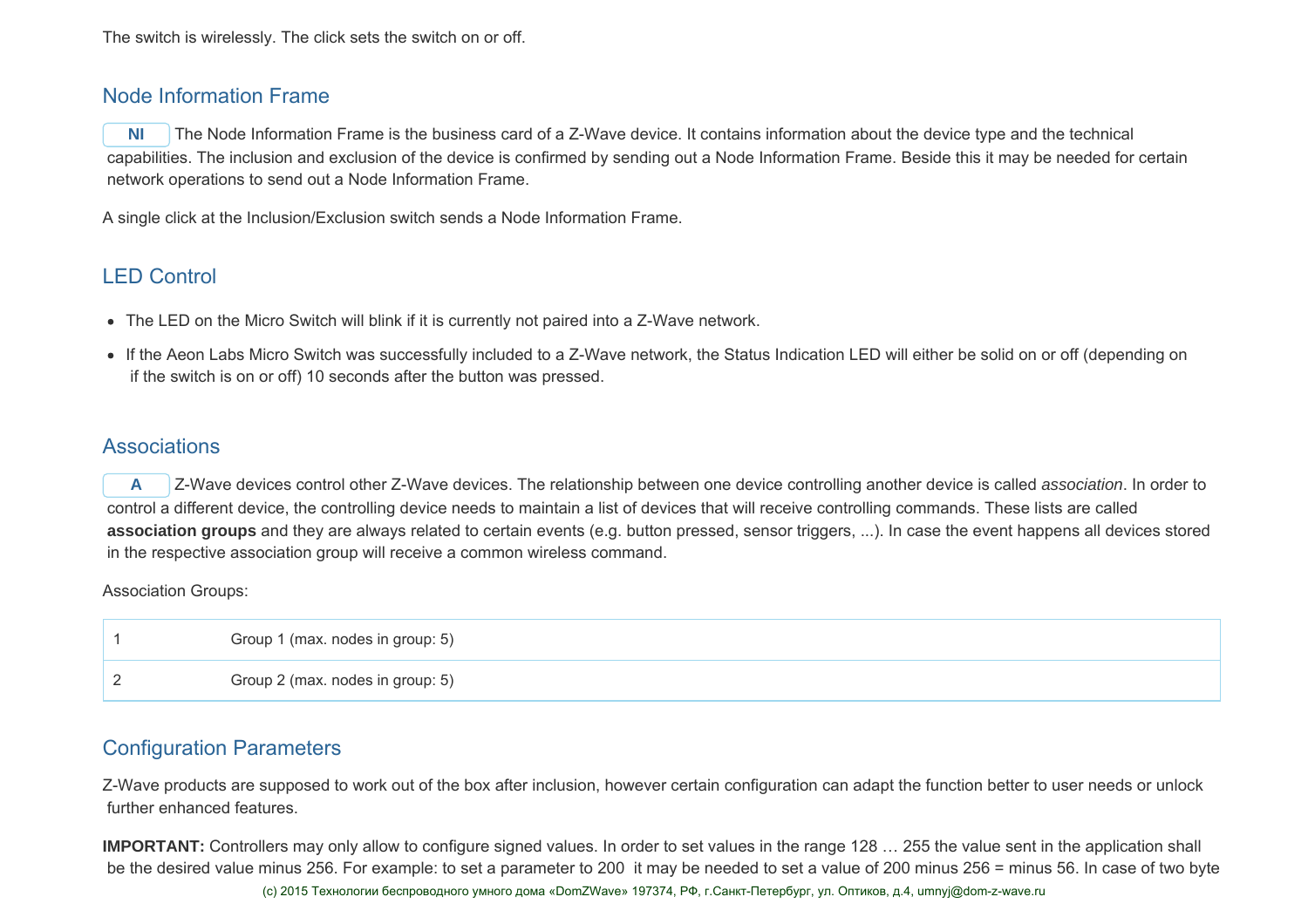### Node Information Frame

**NI** The Node Information Frame is the business card of a Z-Wave device. It contains information about the device type and the technical capabilities. The inclusion and exclusion of the device is confirmed by sending out a Node Information Frame. Beside this it may be needed for certain network operations to send out a Node Information Frame.

A single click at the Inclusion/Exclusion switch sends a Node Information Frame.

### LED Control

- The LED on the Micro Switch will blink if it is currently not paired into a Z-Wave network.
- If the Aeon Labs Micro Switch was successfully included to a Z-Wave network, the Status Indication LED will either be solid on or off (depending on if the switch is on or off) 10 seconds after the button was pressed.

### **Associations**

**A** Z-Wave devices control other Z-Wave devices. The relationship between one device controlling another device is called *association*. In order to control a different device, the controlling device needs to maintain a list of devices that will receive controlling commands. These lists are called  **association groups** and they are always related to certain events (e.g. button pressed, sensor triggers, ...). In case the event happens all devices stored in the respective association group will receive a common wireless command.

Association Groups:

|   | Group 1 (max. nodes in group: 5) |
|---|----------------------------------|
| - | Group 2 (max. nodes in group: 5) |

### Configuration Parameters

Z-Wave products are supposed to work out of the box after inclusion, however certain configuration can adapt the function better to user needs or unlock further enhanced features.

**IMPORTANT:** Controllers may only allow to configure signed values. In order to set values in the range 128 … 255 the value sent in the application shall be the desired value minus 256. For example: to set a parameter to 200 it may be needed to set a value of 200 minus 256 = minus 56. In case of two byte (с) 2015 Технологии беспроводного умного дома «DomZWave» 197374, РФ, г.Санкт-Петербург, ул. Оптиков, д.4, umnyj@dom-z-wave.ru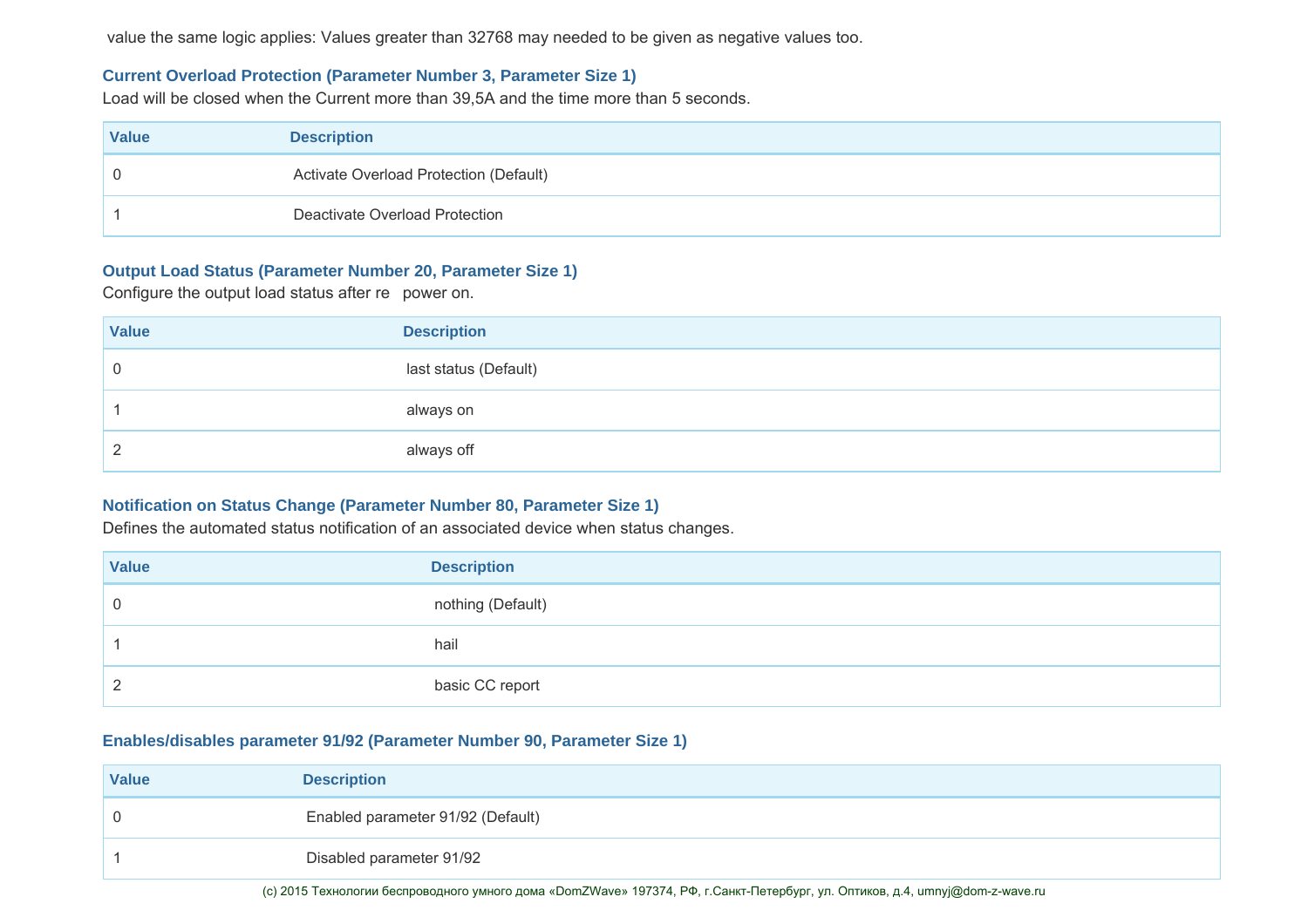value the same logic applies: Values greater than 32768 may needed to be given as negative values too.

#### **Current Overload Protection (Parameter Number 3, Parameter Size 1)**

Load will be closed when the Current more than 39,5A and the time more than 5 seconds.

| <b>Value</b> | <b>Description</b>                     |
|--------------|----------------------------------------|
|              | Activate Overload Protection (Default) |
|              | Deactivate Overload Protection         |

#### **Output Load Status (Parameter Number 20, Parameter Size 1)**

Configure the output load status after re power on.

| <b>Value</b> | <b>Description</b>    |
|--------------|-----------------------|
| u            | last status (Default) |
|              | always on             |
| -            | always off            |

### **Notification on Status Change (Parameter Number 80, Parameter Size 1)**

Defines the automated status notification of an associated device when status changes.

| <b>Value</b> | <b>Description</b> |
|--------------|--------------------|
| ◡            | nothing (Default)  |
|              | hail               |
|              | basic CC report    |

#### **Enables/disables parameter 91/92 (Parameter Number 90, Parameter Size 1)**

| <b>Value</b> | <b>Description</b>                |
|--------------|-----------------------------------|
|              | Enabled parameter 91/92 (Default) |
|              | Disabled parameter 91/92          |

(с) 2015 Технологии беспроводного умного дома «DomZWave» 197374, РФ, г.Санкт-Петербург, ул. Оптиков, д.4, umnyj@dom-z-wave.ru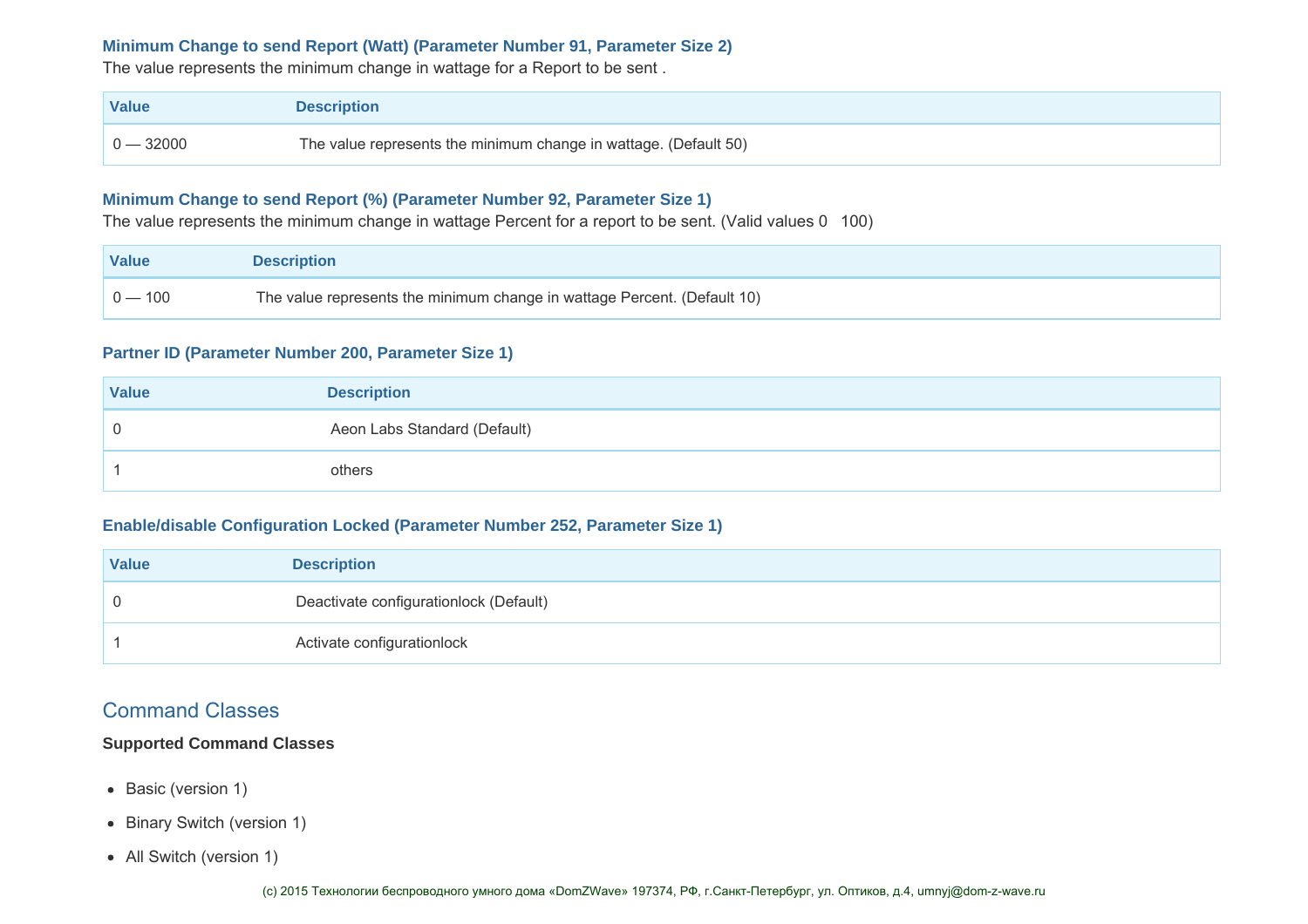#### **Minimum Change to send Report (Watt) (Parameter Number 91, Parameter Size 2)**

The value represents the minimum change in wattage for a Report to be sent .

| Value       | <b>Description</b>                                               |
|-------------|------------------------------------------------------------------|
| $0 - 32000$ | The value represents the minimum change in wattage. (Default 50) |

#### **Minimum Change to send Report (%) (Parameter Number 92, Parameter Size 1)**

The value represents the minimum change in wattage Percent for a report to be sent. (Valid values 0 100)

| Value     | <b>Description</b>                                                       |
|-----------|--------------------------------------------------------------------------|
| $0 - 100$ | The value represents the minimum change in wattage Percent. (Default 10) |

#### **Partner ID (Parameter Number 200, Parameter Size 1)**

| <b>Value</b> | <b>Description</b>           |
|--------------|------------------------------|
|              | Aeon Labs Standard (Default) |
|              | others                       |

#### **Enable/disable Configuration Locked (Parameter Number 252, Parameter Size 1)**

| <b>Value</b> | <b>Description</b>                     |
|--------------|----------------------------------------|
|              | Deactivate configurationlock (Default) |
|              | Activate configurationlock             |

### Command Classes

#### **Supported Command Classes**

- Basic (version 1)
- Binary Switch (version 1)
- All Switch (version 1)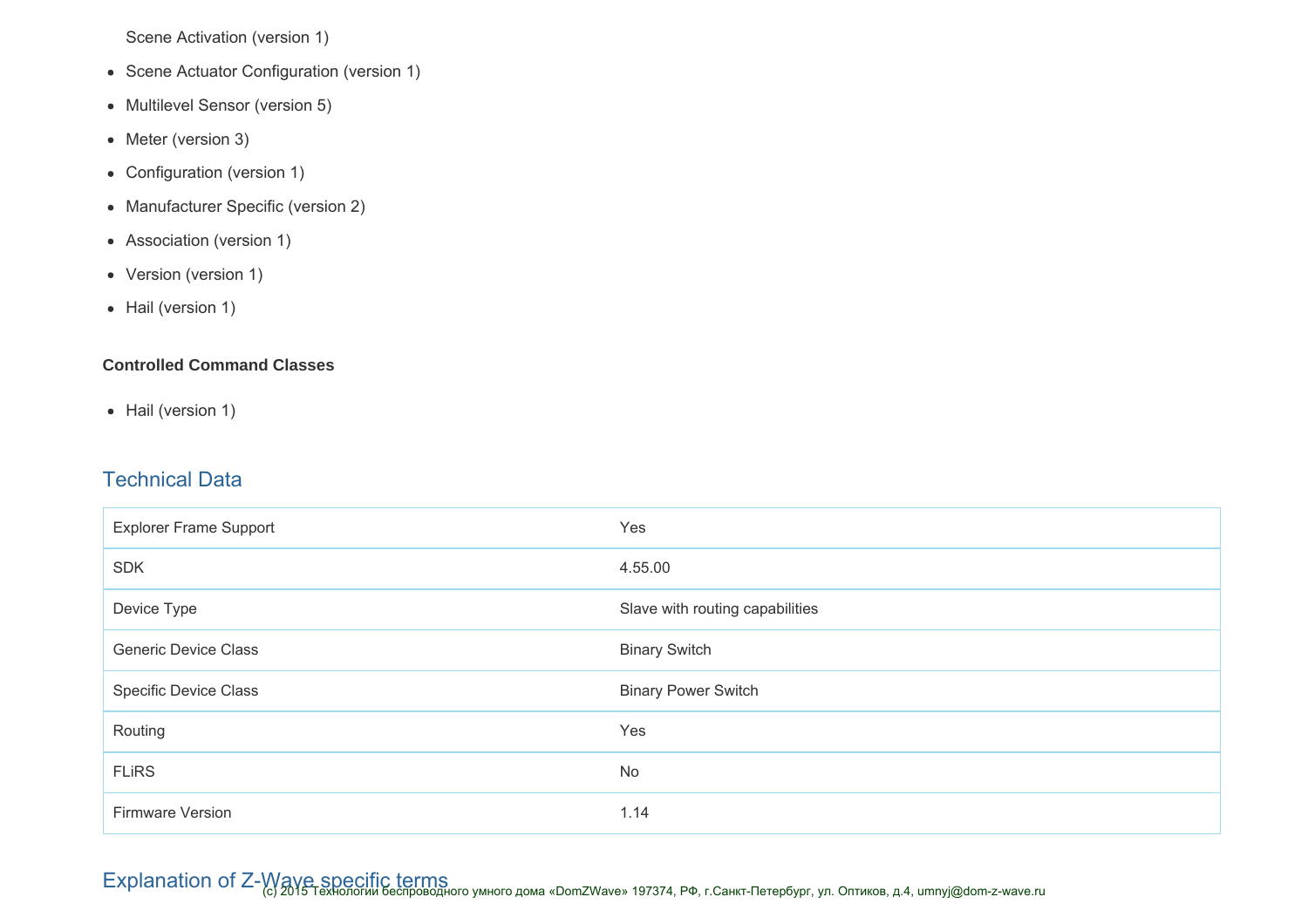Scene Activation (version 1)

- Scene Actuator Configuration (version 1)
- Multilevel Sensor (version 5)
- Meter (version 3)
- Configuration (version 1)
- Manufacturer Specific (version 2)
- Association (version 1)
- Version (version 1)
- Hail (version 1)

### **Controlled Command Classes**

• Hail (version 1)

### Technical Data

| <b>Explorer Frame Support</b> | Yes                             |
|-------------------------------|---------------------------------|
| <b>SDK</b>                    | 4.55.00                         |
| Device Type                   | Slave with routing capabilities |
| <b>Generic Device Class</b>   | <b>Binary Switch</b>            |
| <b>Specific Device Class</b>  | <b>Binary Power Switch</b>      |
| Routing                       | Yes                             |
| <b>FLIRS</b>                  | No                              |
| Firmware Version              | 1.14                            |

Explanation of Z-Waye specific terms<br>Explanation of Z-Waye specific terms